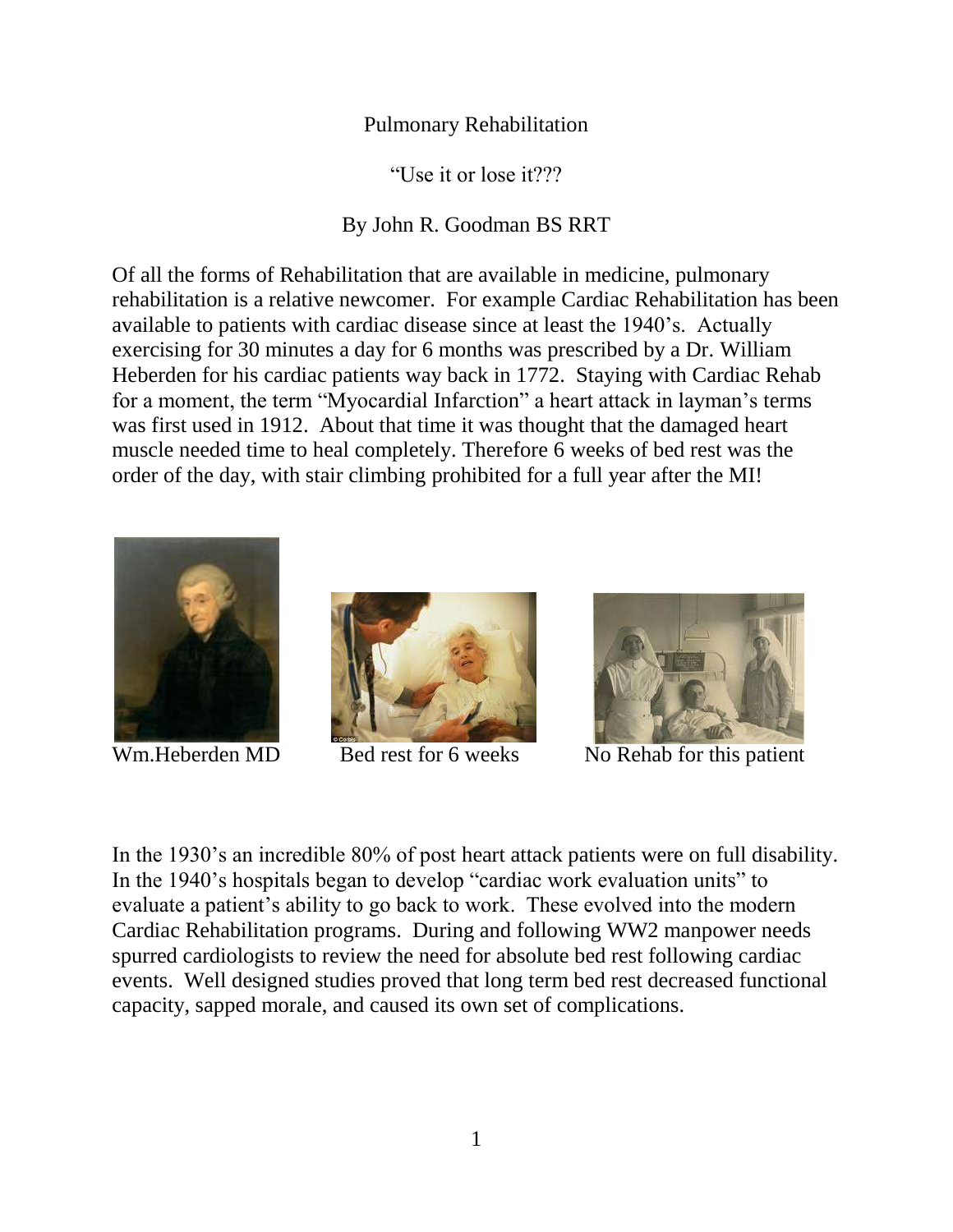## Pulmonary Rehabilitation

"Use it or lose it???

## By John R. Goodman BS RRT

Of all the forms of Rehabilitation that are available in medicine, pulmonary rehabilitation is a relative newcomer. For example Cardiac Rehabilitation has been available to patients with cardiac disease since at least the 1940's. Actually exercising for 30 minutes a day for 6 months was prescribed by a Dr. William Heberden for his cardiac patients way back in 1772. Staying with Cardiac Rehab for a moment, the term "Myocardial Infarction" a heart attack in layman's terms was first used in 1912. About that time it was thought that the damaged heart muscle needed time to heal completely. Therefore 6 weeks of bed rest was the order of the day, with stair climbing prohibited for a full year after the MI!







Wm.Heberden MD Bed rest for 6 weeks No Rehab for this patient

In the 1930's an incredible 80% of post heart attack patients were on full disability. In the 1940's hospitals began to develop "cardiac work evaluation units" to evaluate a patient's ability to go back to work. These evolved into the modern Cardiac Rehabilitation programs. During and following WW2 manpower needs spurred cardiologists to review the need for absolute bed rest following cardiac events. Well designed studies proved that long term bed rest decreased functional capacity, sapped morale, and caused its own set of complications.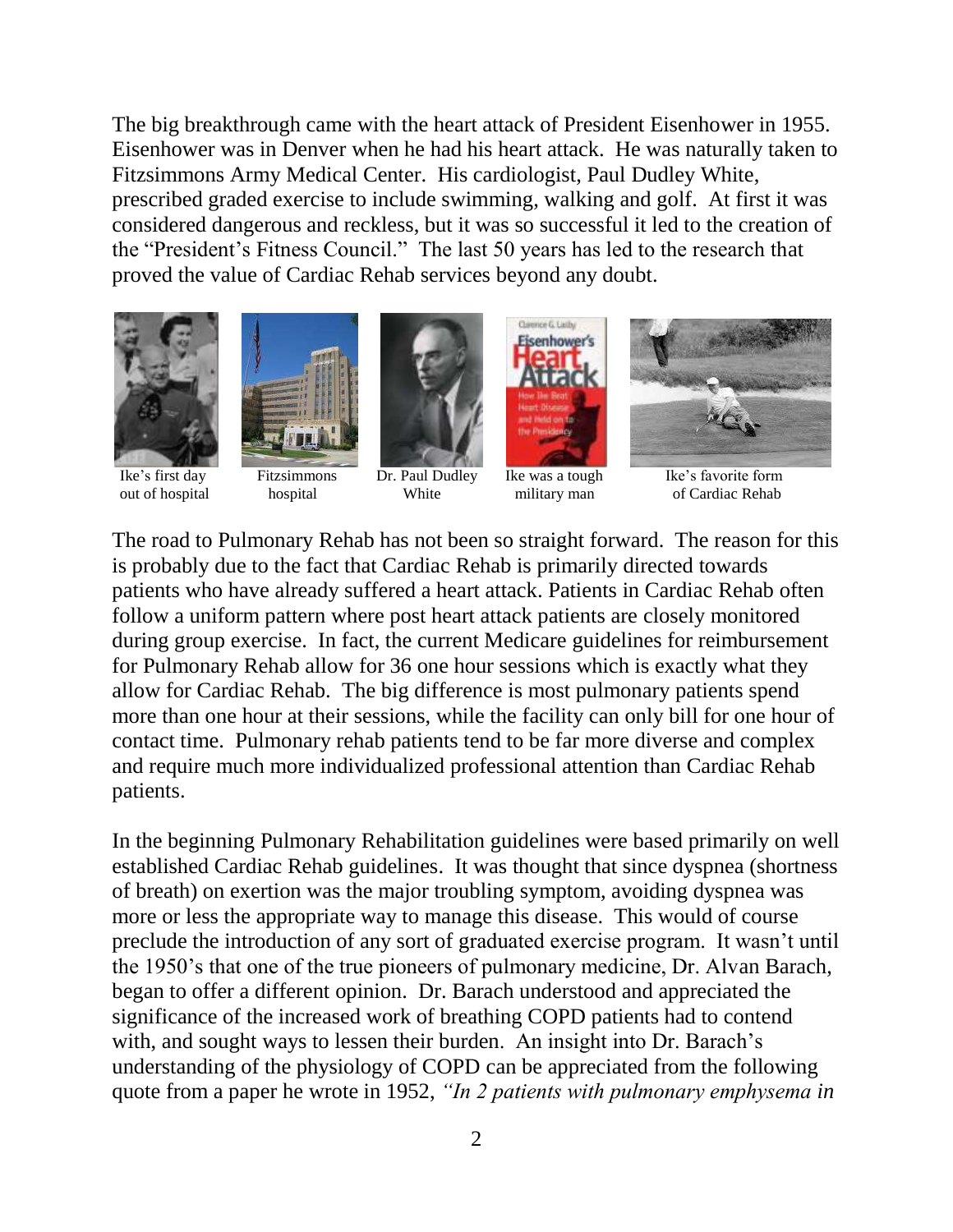The big breakthrough came with the heart attack of President Eisenhower in 1955. Eisenhower was in Denver when he had his heart attack. He was naturally taken to Fitzsimmons Army Medical Center. His cardiologist, Paul Dudley White, prescribed graded exercise to include swimming, walking and golf. At first it was considered dangerous and reckless, but it was so successful it led to the creation of the "President's Fitness Council." The last 50 years has led to the research that proved the value of Cardiac Rehab services beyond any doubt.











Classrice G. Listin





The road to Pulmonary Rehab has not been so straight forward. The reason for this is probably due to the fact that Cardiac Rehab is primarily directed towards patients who have already suffered a heart attack. Patients in Cardiac Rehab often follow a uniform pattern where post heart attack patients are closely monitored during group exercise. In fact, the current Medicare guidelines for reimbursement for Pulmonary Rehab allow for 36 one hour sessions which is exactly what they allow for Cardiac Rehab. The big difference is most pulmonary patients spend more than one hour at their sessions, while the facility can only bill for one hour of contact time. Pulmonary rehab patients tend to be far more diverse and complex and require much more individualized professional attention than Cardiac Rehab patients.

In the beginning Pulmonary Rehabilitation guidelines were based primarily on well established Cardiac Rehab guidelines. It was thought that since dyspnea (shortness of breath) on exertion was the major troubling symptom, avoiding dyspnea was more or less the appropriate way to manage this disease. This would of course preclude the introduction of any sort of graduated exercise program. It wasn't until the 1950's that one of the true pioneers of pulmonary medicine, Dr. Alvan Barach, began to offer a different opinion. Dr. Barach understood and appreciated the significance of the increased work of breathing COPD patients had to contend with, and sought ways to lessen their burden. An insight into Dr. Barach's understanding of the physiology of COPD can be appreciated from the following quote from a paper he wrote in 1952, *"In 2 patients with pulmonary emphysema in*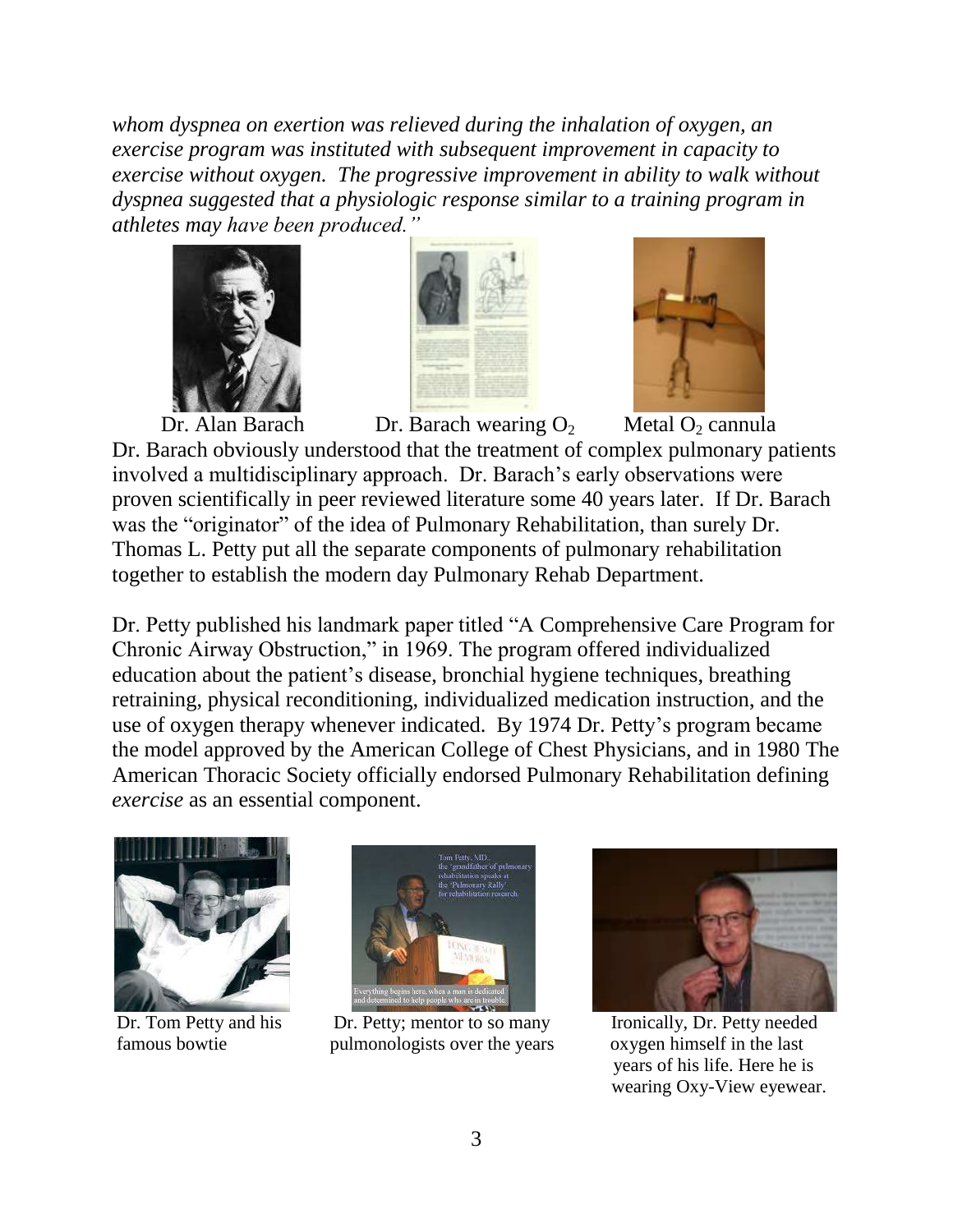*whom dyspnea on exertion was relieved during the inhalation of oxygen, an exercise program was instituted with subsequent improvement in capacity to exercise without oxygen. The progressive improvement in ability to walk without dyspnea suggested that a physiologic response similar to a training program in athletes may have been produced."*









Dr. Alan Barach Dr. Barach wearing  $O_2$  Metal  $O_2$  cannula Dr. Barach obviously understood that the treatment of complex pulmonary patients involved a multidisciplinary approach. Dr. Barach's early observations were proven scientifically in peer reviewed literature some 40 years later. If Dr. Barach was the "originator" of the idea of Pulmonary Rehabilitation, than surely Dr. Thomas L. Petty put all the separate components of pulmonary rehabilitation together to establish the modern day Pulmonary Rehab Department.

Dr. Petty published his landmark paper titled "A Comprehensive Care Program for Chronic Airway Obstruction," in 1969. The program offered individualized education about the patient's disease, bronchial hygiene techniques, breathing retraining, physical reconditioning, individualized medication instruction, and the use of oxygen therapy whenever indicated. By 1974 Dr. Petty's program became the model approved by the American College of Chest Physicians, and in 1980 The American Thoracic Society officially endorsed Pulmonary Rehabilitation defining *exercise* as an essential component.





Dr. Tom Petty and his Dr. Petty; mentor to so many Ironically, Dr. Petty needed famous bowtie pulmonologists over the years oxygen himself in the last



 years of his life. Here he is wearing Oxy-View eyewear.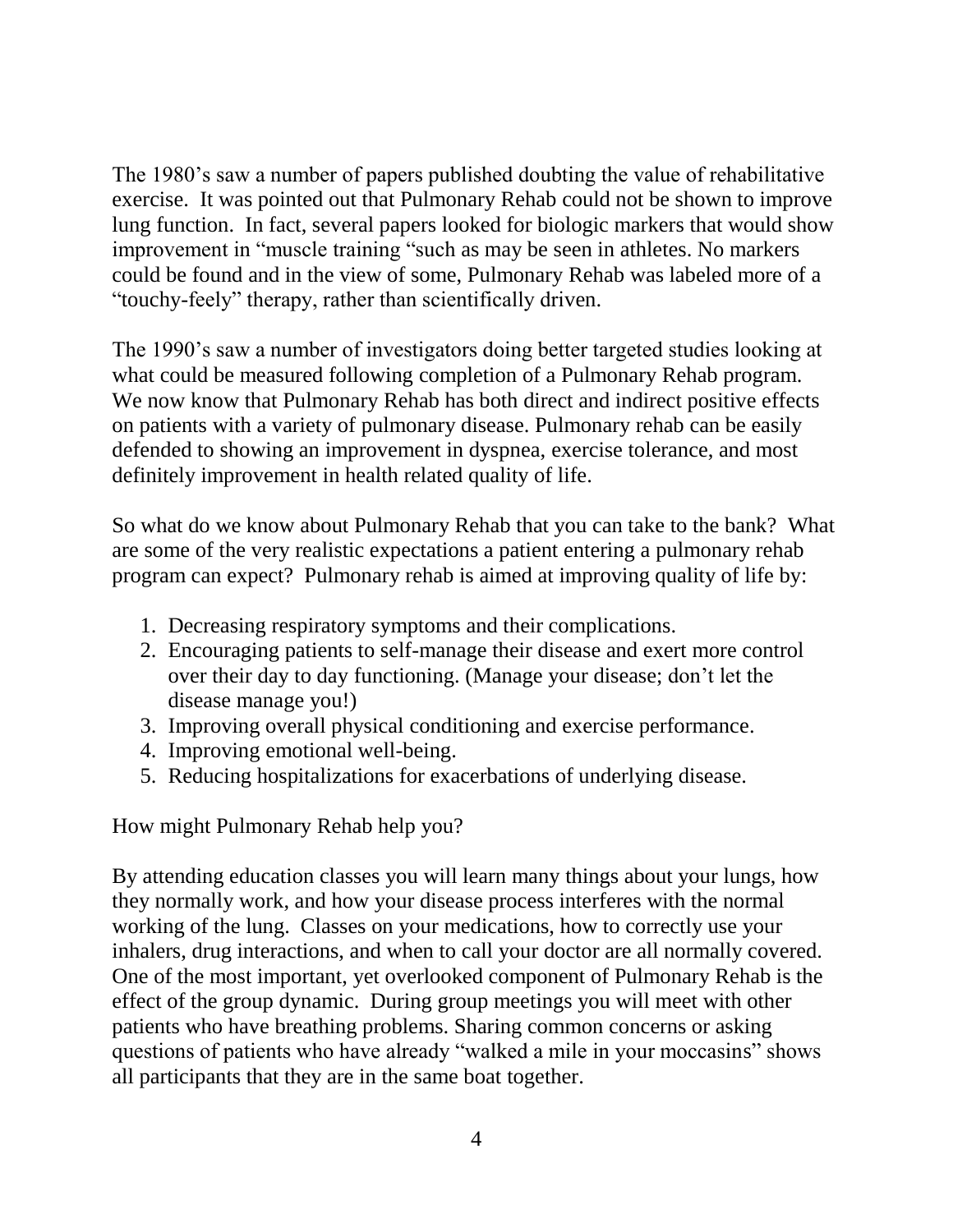The 1980's saw a number of papers published doubting the value of rehabilitative exercise. It was pointed out that Pulmonary Rehab could not be shown to improve lung function. In fact, several papers looked for biologic markers that would show improvement in "muscle training "such as may be seen in athletes. No markers could be found and in the view of some, Pulmonary Rehab was labeled more of a "touchy-feely" therapy, rather than scientifically driven.

The 1990's saw a number of investigators doing better targeted studies looking at what could be measured following completion of a Pulmonary Rehab program. We now know that Pulmonary Rehab has both direct and indirect positive effects on patients with a variety of pulmonary disease. Pulmonary rehab can be easily defended to showing an improvement in dyspnea, exercise tolerance, and most definitely improvement in health related quality of life.

So what do we know about Pulmonary Rehab that you can take to the bank? What are some of the very realistic expectations a patient entering a pulmonary rehab program can expect? Pulmonary rehab is aimed at improving quality of life by:

- 1. Decreasing respiratory symptoms and their complications.
- 2. Encouraging patients to self-manage their disease and exert more control over their day to day functioning. (Manage your disease; don't let the disease manage you!)
- 3. Improving overall physical conditioning and exercise performance.
- 4. Improving emotional well-being.
- 5. Reducing hospitalizations for exacerbations of underlying disease.

How might Pulmonary Rehab help you?

By attending education classes you will learn many things about your lungs, how they normally work, and how your disease process interferes with the normal working of the lung. Classes on your medications, how to correctly use your inhalers, drug interactions, and when to call your doctor are all normally covered. One of the most important, yet overlooked component of Pulmonary Rehab is the effect of the group dynamic. During group meetings you will meet with other patients who have breathing problems. Sharing common concerns or asking questions of patients who have already "walked a mile in your moccasins" shows all participants that they are in the same boat together.